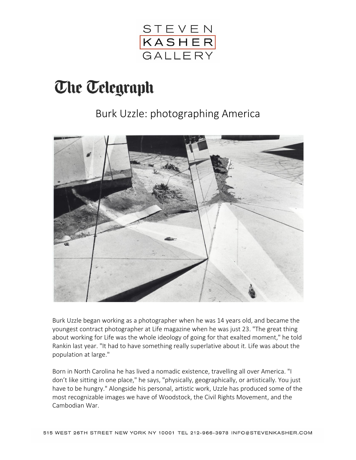

## **The Telegraph**

## Burk Uzzle: photographing America



Burk Uzzle began working as a photographer when he was 14 years old, and became the youngest contract photographer at Life magazine when he was just 23. "The great thing about working for Life was the whole ideology of going for that exalted moment," he told Rankin last year. "It had to have something really superlative about it. Life was about the population at large."

Born in North Carolina he has lived a nomadic existence, travelling all over America. "I don't like sitting in one place," he says, "physically, geographically, or artistically. You just have to be hungry." Alongside his personal, artistic work, Uzzle has produced some of the most recognizable images we have of Woodstock, the Civil Rights Movement, and the Cambodian War.